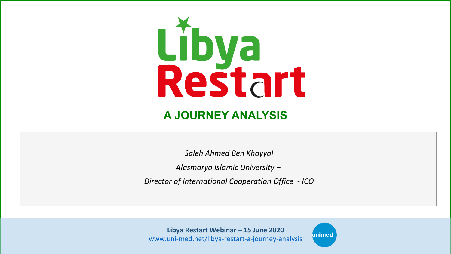

## **A JOURNEY ANALYSIS**

*Saleh Ahmed Ben Khayyal*

Alasmarya Islamic University -

**Director of International Cooperation Office - ICO** 

Libya Restart Webinar - 15 June 2020 www.uni-med.net/libya-restart-a-journey-analysis

unimed